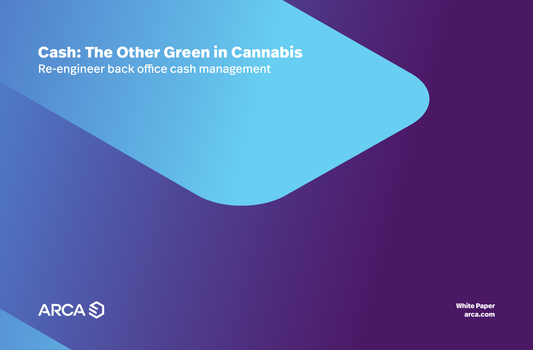# **Cash: The Other Green in Cannabis**

Re-engineer back office cash management



**White Paper arca.com**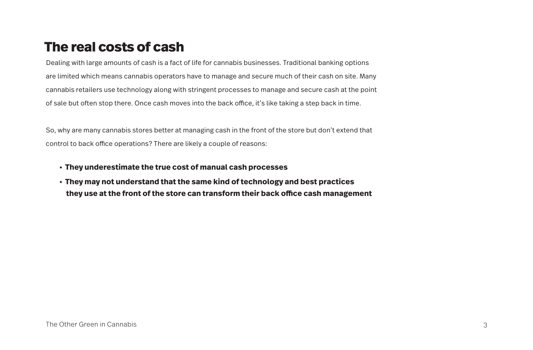## **The real costs of cash**

Dealing with large amounts of cash is a fact of life for cannabis businesses. Traditional banking options are limited which means cannabis operators have to manage and secure much of their cash on site. Many cannabis retailers use technology along with stringent processes to manage and secure cash at the point of sale but often stop there. Once cash moves into the back office, it's like taking a step back in time.

So, why are many cannabis stores better at managing cash in the front of the store but don't extend that control to back office operations? There are likely a couple of reasons:

- **They underestimate the true cost of manual cash processes**
- **They may not understand that the same kind of technology and best practices**  they use at the front of the store can transform their back office cash management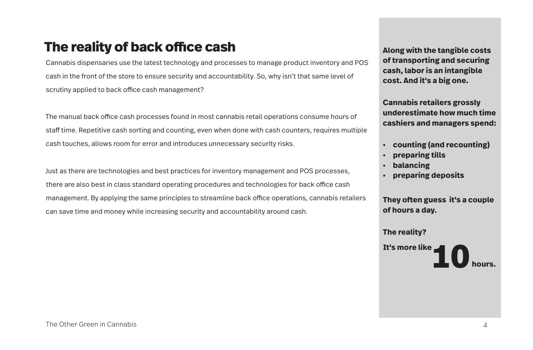## **The reality of back office cash**

Cannabis dispensaries use the latest technology and processes to manage product inventory and POS cash in the front of the store to ensure security and accountability. So, why isn't that same level of scrutiny applied to back office cash management?

The manual back office cash processes found in most cannabis retail operations consume hours of staff time. Repetitive cash sorting and counting, even when done with cash counters, requires multiple cash touches, allows room for error and introduces unnecessary security risks.

Just as there are technologies and best practices for inventory management and POS processes, there are also best in class standard operating procedures and technologies for back office cash management. By applying the same principles to streamline back office operations, cannabis retailers can save time and money while increasing security and accountability around cash.

**Along with the tangible costs of transporting and securing cash, labor is an intangible cost. And it's a big one.**

**Cannabis retailers grossly underestimate how much time cashiers and managers spend:**

- **counting (and recounting)**
- **preparing tills**
- **balancing**
- **preparing deposits**

**They often guess it's a couple of hours a day.** 

### **The reality?**

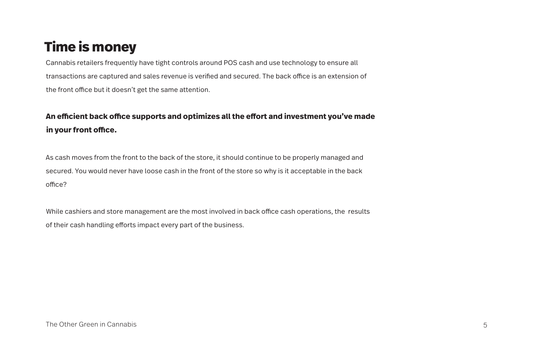# **Time is money**

Cannabis retailers frequently have tight controls around POS cash and use technology to ensure all transactions are captured and sales revenue is verified and secured. The back office is an extension of the front office but it doesn't get the same attention.

### An efficient back office supports and optimizes all the effort and investment you've made in your front office.

As cash moves from the front to the back of the store, it should continue to be properly managed and secured. You would never have loose cash in the front of the store so why is it acceptable in the back office?

While cashiers and store management are the most involved in back office cash operations, the results of their cash handling efforts impact every part of the business.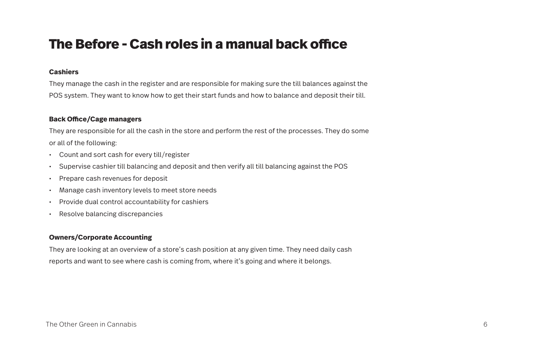### **The Before - Cash roles in a manual back office**

### **Cashiers**

They manage the cash in the register and are responsible for making sure the till balances against the POS system. They want to know how to get their start funds and how to balance and deposit their till.

### **Back Office/Cage managers**

They are responsible for all the cash in the store and perform the rest of the processes. They do some or all of the following:

- Count and sort cash for every till/register
- Supervise cashier till balancing and deposit and then verify all till balancing against the POS
- Prepare cash revenues for deposit
- Manage cash inventory levels to meet store needs
- Provide dual control accountability for cashiers
- Resolve balancing discrepancies

### **Owners/Corporate Accounting**

They are looking at an overview of a store's cash position at any given time. They need daily cash reports and want to see where cash is coming from, where it's going and where it belongs.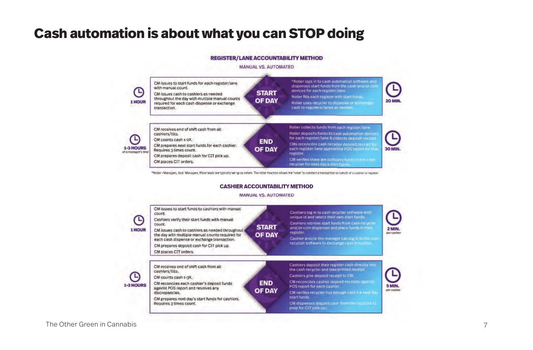## **Cash automation is about what you can STOP doing**

#### **REGISTER/LANE ACCOUNTABILITY METHOD**

#### **MANUAL VS, AUTOMATED**



\*Rotler - Managers, Asst. Managers, Floor teads are typically set up as rotters. The rotler function allows the rotler' to conduct a transaction on behalf of a cashier or register

#### **CASHIER ACCOUNTABILITY METHOD**

#### **MANUAL VS, AUTOMATED**

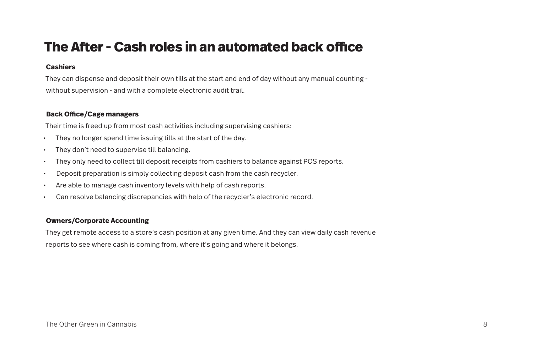## **The After - Cash roles in an automated back office**

### **Cashiers**

They can dispense and deposit their own tills at the start and end of day without any manual counting without supervision - and with a complete electronic audit trail.

### **Back Office/Cage managers**

Their time is freed up from most cash activities including supervising cashiers:

- They no longer spend time issuing tills at the start of the day.
- They don't need to supervise till balancing.
- They only need to collect till deposit receipts from cashiers to balance against POS reports.
- Deposit preparation is simply collecting deposit cash from the cash recycler.
- Are able to manage cash inventory levels with help of cash reports.
- Can resolve balancing discrepancies with help of the recycler's electronic record.

### **Owners/Corporate Accounting**

They get remote access to a store's cash position at any given time. And they can view daily cash revenue reports to see where cash is coming from, where it's going and where it belongs.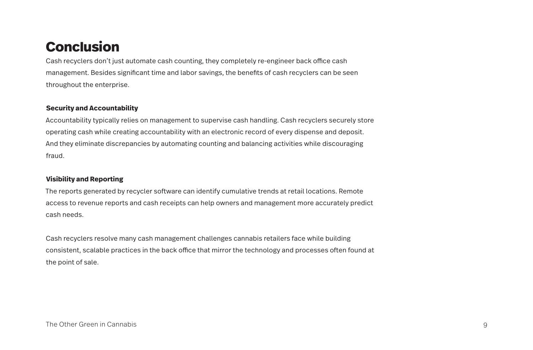## **Conclusion**

Cash recyclers don't just automate cash counting, they completely re-engineer back office cash management. Besides significant time and labor savings, the benefits of cash recyclers can be seen throughout the enterprise.

### **Security and Accountability**

Accountability typically relies on management to supervise cash handling. Cash recyclers securely store operating cash while creating accountability with an electronic record of every dispense and deposit. And they eliminate discrepancies by automating counting and balancing activities while discouraging fraud.

### **Visibility and Reporting**

The reports generated by recycler software can identify cumulative trends at retail locations. Remote access to revenue reports and cash receipts can help owners and management more accurately predict cash needs.

Cash recyclers resolve many cash management challenges cannabis retailers face while building consistent, scalable practices in the back office that mirror the technology and processes often found at the point of sale.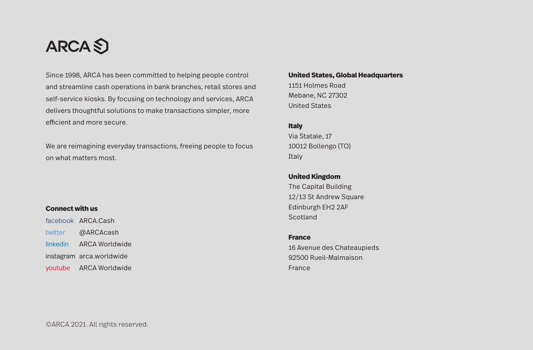# **ARCA**S

Since 1998, ARCA has been committed to helping people control and streamline cash operations in bank branches, retail stores and self-service kiosks. By focusing on technology and services, ARCA delivers thoughtful solutions to make transactions simpler, more efficient and more secure.

We are reimagining everyday transactions, freeing people to focus on what matters most.

### **Connect with us**

facebook ARCA.Cash twitter @ARCAcash linkedin ARCA Worldwide instagram arca.worldwide youtube ARCA Worldwide

#### **United States, Global Headquarters**

1151 Holmes Road Mebane, NC 27302 United States

### **Italy**

Via Statale, 17 10012 Bollengo (TO) Italy

### **United Kingdom**

The Capital Building 12/13 St Andrew Square Edinburgh EH2 2AF **Scotland** 

### **France**

16 Avenue des Chateaupieds 92500 Rueil-Malmaison France